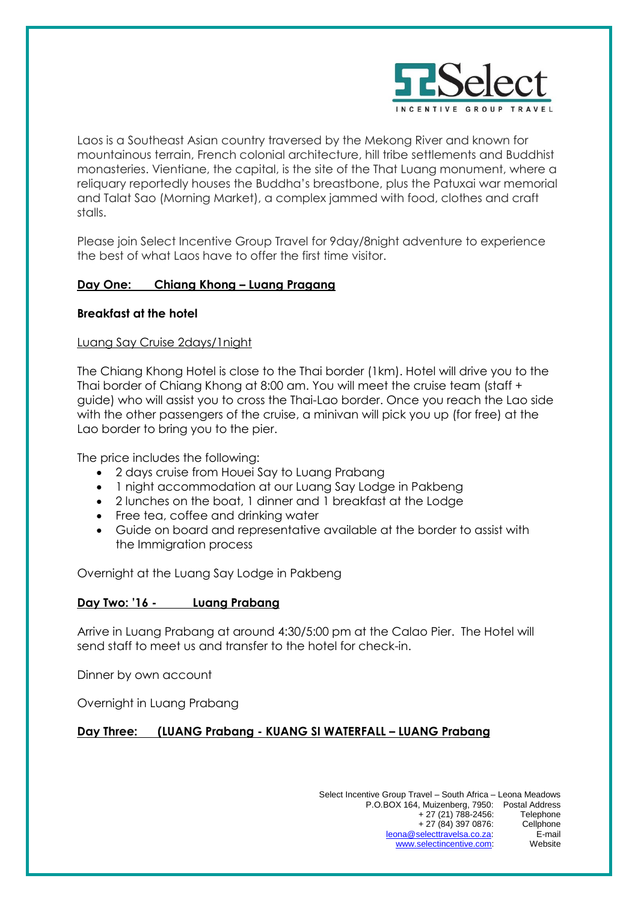

Laos is a Southeast Asian country traversed by the Mekong River and known for mountainous terrain, French colonial architecture, hill tribe settlements and Buddhist monasteries. Vientiane, the capital, is the site of the That Luang monument, where a reliquary reportedly houses the Buddha's breastbone, plus the Patuxai war memorial and Talat Sao (Morning Market), a complex jammed with food, clothes and craft stalls.

Please join Select Incentive Group Travel for 9day/8night adventure to experience the best of what Laos have to offer the first time visitor.

# **Day One: Chiang Khong – Luang Pragang**

# **Breakfast at the hotel**

## Luang Say Cruise 2days/1night

The Chiang Khong Hotel is close to the Thai border (1km). Hotel will drive you to the Thai border of Chiang Khong at 8:00 am. You will meet the cruise team (staff + guide) who will assist you to cross the Thai-Lao border. Once you reach the Lao side with the other passengers of the cruise, a minivan will pick you up (for free) at the Lao border to bring you to the pier.

The price includes the following:

- 2 days cruise from Houei Say to Luang Prabang
- 1 night accommodation at our Luang Say Lodge in Pakbeng
- 2 lunches on the boat, 1 dinner and 1 breakfast at the Lodge
- Free tea, coffee and drinking water
- Guide on board and representative available at the border to assist with the Immigration process

Overnight at the Luang Say Lodge in Pakbeng

## **Day Two: '16 - Luang Prabang**

Arrive in Luang Prabang at around 4:30/5:00 pm at the Calao Pier. The Hotel will send staff to meet us and transfer to the hotel for check-in.

Dinner by own account

Overnight in Luang Prabang

## **Day Three: (LUANG Prabang - KUANG SI WATERFALL – LUANG Prabang**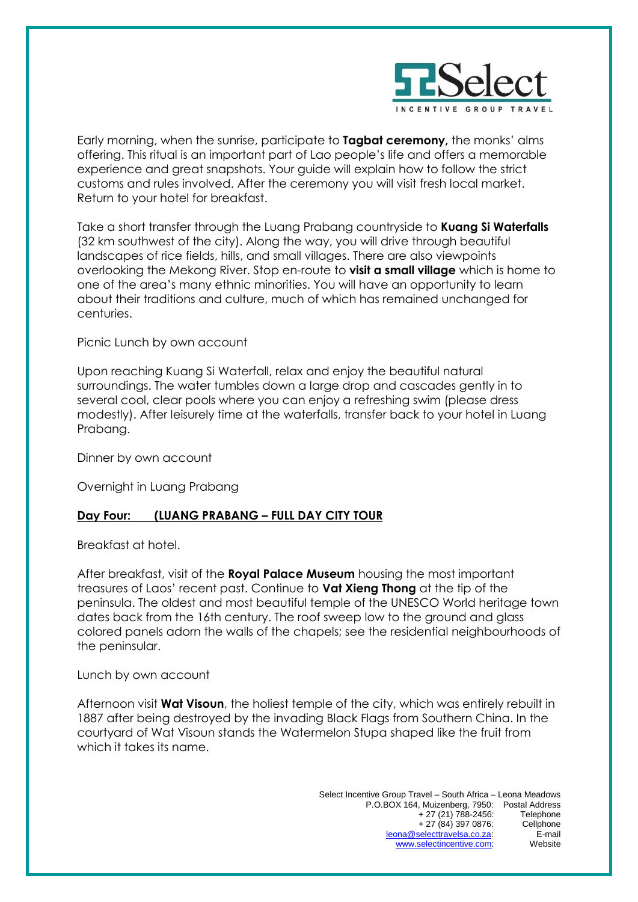

Early morning, when the sunrise, participate to **Tagbat ceremony,** the monks' alms offering. This ritual is an important part of Lao people's life and offers a memorable experience and great snapshots. Your guide will explain how to follow the strict customs and rules involved. After the ceremony you will visit fresh local market. Return to your hotel for breakfast.

Take a short transfer through the Luang Prabang countryside to **Kuang Si Waterfalls** (32 km southwest of the city). Along the way, you will drive through beautiful landscapes of rice fields, hills, and small villages. There are also viewpoints overlooking the Mekong River. Stop en-route to **visit a small village** which is home to one of the area's many ethnic minorities. You will have an opportunity to learn about their traditions and culture, much of which has remained unchanged for centuries.

Picnic Lunch by own account

Upon reaching Kuang Si Waterfall, relax and enjoy the beautiful natural surroundings. The water tumbles down a large drop and cascades gently in to several cool, clear pools where you can enjoy a refreshing swim (please dress modestly). After leisurely time at the waterfalls, transfer back to your hotel in Luang Prabang.

Dinner by own account

Overnight in Luang Prabang

## **Day Four: (LUANG PRABANG – FULL DAY CITY TOUR**

Breakfast at hotel.

After breakfast, visit of the **Royal Palace Museum** housing the most important treasures of Laos' recent past. Continue to **Vat Xieng Thong** at the tip of the peninsula. The oldest and most beautiful temple of the UNESCO World heritage town dates back from the 16th century. The roof sweep low to the ground and glass colored panels adorn the walls of the chapels; see the residential neighbourhoods of the peninsular.

Lunch by own account

Afternoon visit **Wat Visoun**, the holiest temple of the city, which was entirely rebuilt in 1887 after being destroyed by the invading Black Flags from Southern China. In the courtyard of Wat Visoun stands the Watermelon Stupa shaped like the fruit from which it takes its name.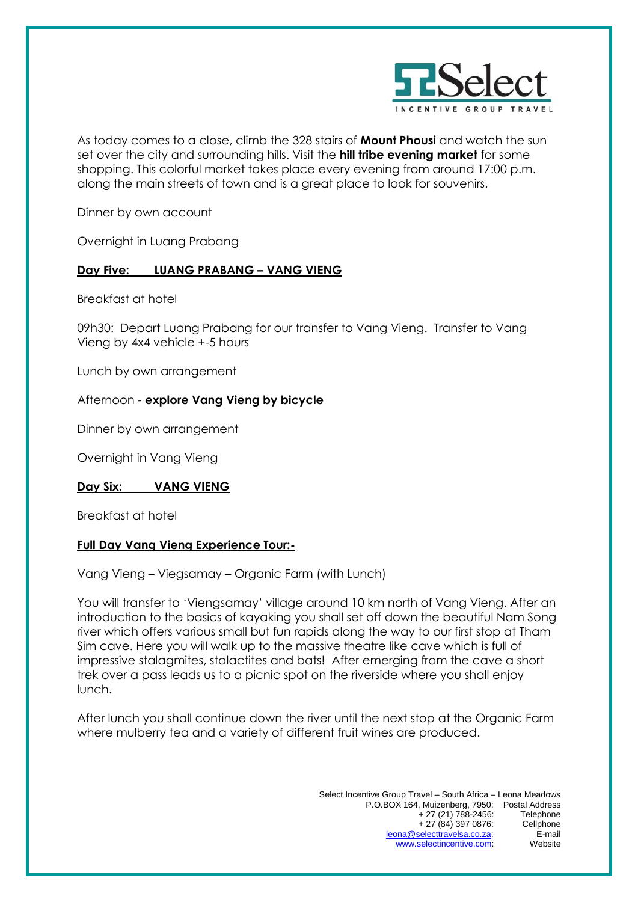

As today comes to a close, climb the 328 stairs of **Mount Phousi** and watch the sun set over the city and surrounding hills. Visit the **hill tribe evening market** for some shopping. This colorful market takes place every evening from around 17:00 p.m. along the main streets of town and is a great place to look for souvenirs.

Dinner by own account

Overnight in Luang Prabang

## **Day Five: LUANG PRABANG – VANG VIENG**

Breakfast at hotel

09h30: Depart Luang Prabang for our transfer to Vang Vieng. Transfer to Vang Vieng by 4x4 vehicle +-5 hours

Lunch by own arrangement

## Afternoon - **explore Vang Vieng by bicycle**

Dinner by own arrangement

Overnight in Vang Vieng

#### **Day Six: VANG VIENG**

Breakfast at hotel

## **Full Day Vang Vieng Experience Tour:-**

Vang Vieng – Viegsamay – Organic Farm (with Lunch)

You will transfer to 'Viengsamay' village around 10 km north of Vang Vieng. After an introduction to the basics of kayaking you shall set off down the beautiful Nam Song river which offers various small but fun rapids along the way to our first stop at Tham Sim cave. Here you will walk up to the massive theatre like cave which is full of impressive stalagmites, stalactites and bats! After emerging from the cave a short trek over a pass leads us to a picnic spot on the riverside where you shall enjoy lunch.

After lunch you shall continue down the river until the next stop at the Organic Farm where mulberry tea and a variety of different fruit wines are produced.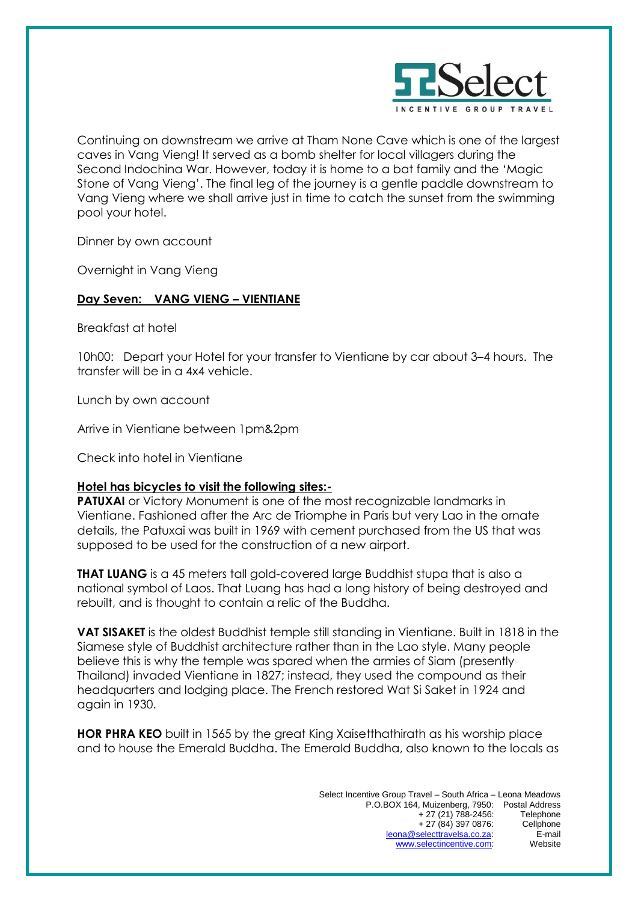

Continuing on downstream we arrive at Tham None Cave which is one of the largest caves in Vang Vieng! It served as a bomb shelter for local villagers during the Second Indochina War. However, today it is home to a bat family and the 'Magic Stone of Vang Vieng'. The final leg of the journey is a gentle paddle downstream to Vang Vieng where we shall arrive just in time to catch the sunset from the swimming pool your hotel.

Dinner by own account

Overnight in Vang Vieng

## **Day Seven: VANG VIENG – VIENTIANE**

Breakfast at hotel

10h00: Depart your Hotel for your transfer to Vientiane by car about 3–4 hours. The transfer will be in a 4x4 vehicle.

Lunch by own account

Arrive in Vientiane between 1pm&2pm

Check into hotel in Vientiane

## **Hotel has bicycles to visit the following sites:-**

**PATUXAI** or Victory Monument is one of the most recognizable landmarks in Vientiane. Fashioned after the Arc de Triomphe in Paris but very Lao in the ornate details, the Patuxai was built in 1969 with cement purchased from the US that was supposed to be used for the construction of a new airport.

**THAT LUANG** is a 45 meters tall gold-covered large Buddhist stupa that is also a national symbol of Laos. That Luang has had a long history of being destroyed and rebuilt, and is thought to contain a relic of the Buddha.

**VAT SISAKET** is the oldest Buddhist temple still standing in Vientiane. Built in 1818 in the Siamese style of Buddhist architecture rather than in the Lao style. Many people believe this is why the temple was spared when the armies of Siam (presently Thailand) invaded Vientiane in 1827; instead, they used the compound as their headquarters and lodging place. The French restored Wat Si Saket in 1924 and again in 1930.

**HOR PHRA KEO** built in 1565 by the great King Xaisetthathirath as his worship place and to house the Emerald Buddha. The Emerald Buddha, also known to the locals as

> Select Incentive Group Travel – South Africa – Leona Meadows P.O.BOX 164, Muizenberg, 7950: Postal Address + 27 (21) 788-2456: Telephone + 27 (84) 397 0876: Cellphone [leona@selecttravelsa.co.za:](mailto:leona@selecttravelsa.co.za) E-mail [www.selectincentive.com:](http://www.selectincentive.com/) Website